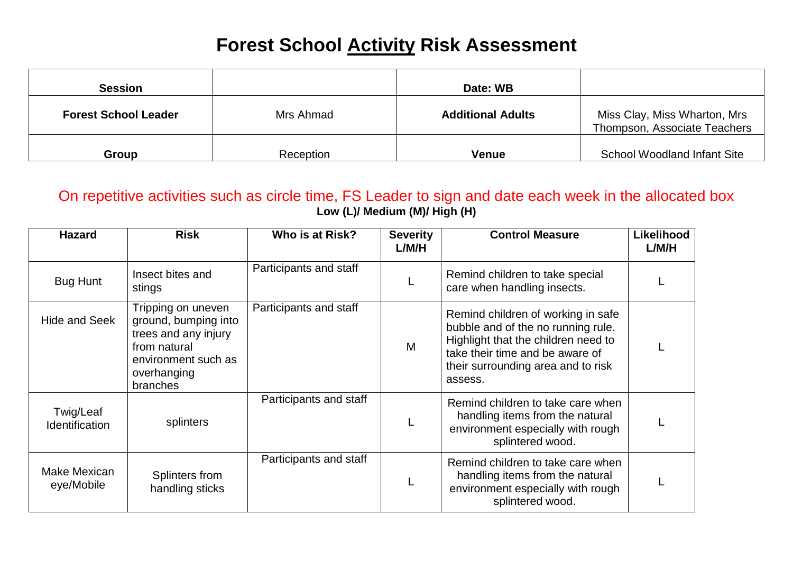## **Forest School Activity Risk Assessment**

| <b>Session</b>              |           | Date: WB                 |                                                              |
|-----------------------------|-----------|--------------------------|--------------------------------------------------------------|
| <b>Forest School Leader</b> | Mrs Ahmad | <b>Additional Adults</b> | Miss Clay, Miss Wharton, Mrs<br>Thompson, Associate Teachers |
| <b>Group</b>                | Reception | <b>Venue</b>             | <b>School Woodland Infant Site</b>                           |

On repetitive activities such as circle time, FS Leader to sign and date each week in the allocated box **Low (L)/ Medium (M)/ High (H)**

| <b>Hazard</b>               | <b>Risk</b>                                                                                                                          | Who is at Risk?        | <b>Severity</b><br>L/M/H | <b>Control Measure</b>                                                                                                                                                                              | Likelihood<br>L/M/H |
|-----------------------------|--------------------------------------------------------------------------------------------------------------------------------------|------------------------|--------------------------|-----------------------------------------------------------------------------------------------------------------------------------------------------------------------------------------------------|---------------------|
| <b>Bug Hunt</b>             | Insect bites and<br>stings                                                                                                           | Participants and staff |                          | Remind children to take special<br>care when handling insects.                                                                                                                                      |                     |
| <b>Hide and Seek</b>        | Tripping on uneven<br>ground, bumping into<br>trees and any injury<br>from natural<br>environment such as<br>overhanging<br>branches | Participants and staff | M                        | Remind children of working in safe<br>bubble and of the no running rule.<br>Highlight that the children need to<br>take their time and be aware of<br>their surrounding area and to risk<br>assess. |                     |
| Twig/Leaf<br>Identification | splinters                                                                                                                            | Participants and staff |                          | Remind children to take care when<br>handling items from the natural<br>environment especially with rough<br>splintered wood.                                                                       |                     |
| Make Mexican<br>eye/Mobile  | Splinters from<br>handling sticks                                                                                                    | Participants and staff |                          | Remind children to take care when<br>handling items from the natural<br>environment especially with rough<br>splintered wood.                                                                       |                     |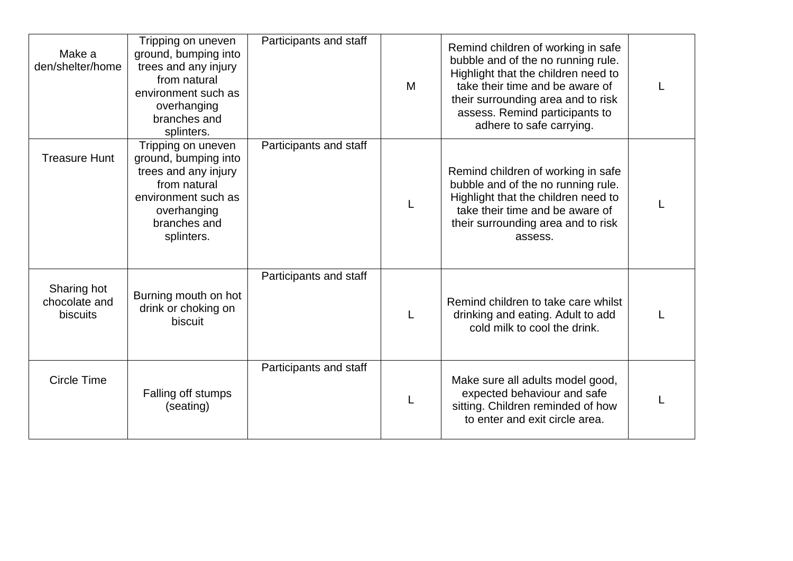| Make a<br>den/shelter/home                      | Tripping on uneven<br>ground, bumping into<br>trees and any injury<br>from natural<br>environment such as<br>overhanging<br>branches and<br>splinters. | Participants and staff | M | Remind children of working in safe<br>bubble and of the no running rule.<br>Highlight that the children need to<br>take their time and be aware of<br>their surrounding area and to risk<br>assess. Remind participants to<br>adhere to safe carrying. |  |
|-------------------------------------------------|--------------------------------------------------------------------------------------------------------------------------------------------------------|------------------------|---|--------------------------------------------------------------------------------------------------------------------------------------------------------------------------------------------------------------------------------------------------------|--|
| <b>Treasure Hunt</b>                            | Tripping on uneven<br>ground, bumping into<br>trees and any injury<br>from natural<br>environment such as<br>overhanging<br>branches and<br>splinters. | Participants and staff |   | Remind children of working in safe<br>bubble and of the no running rule.<br>Highlight that the children need to<br>take their time and be aware of<br>their surrounding area and to risk<br>assess.                                                    |  |
| Sharing hot<br>chocolate and<br><b>biscuits</b> | Burning mouth on hot<br>drink or choking on<br>biscuit                                                                                                 | Participants and staff |   | Remind children to take care whilst<br>drinking and eating. Adult to add<br>cold milk to cool the drink.                                                                                                                                               |  |
| <b>Circle Time</b>                              | Falling off stumps<br>(seating)                                                                                                                        | Participants and staff |   | Make sure all adults model good,<br>expected behaviour and safe<br>sitting. Children reminded of how<br>to enter and exit circle area.                                                                                                                 |  |